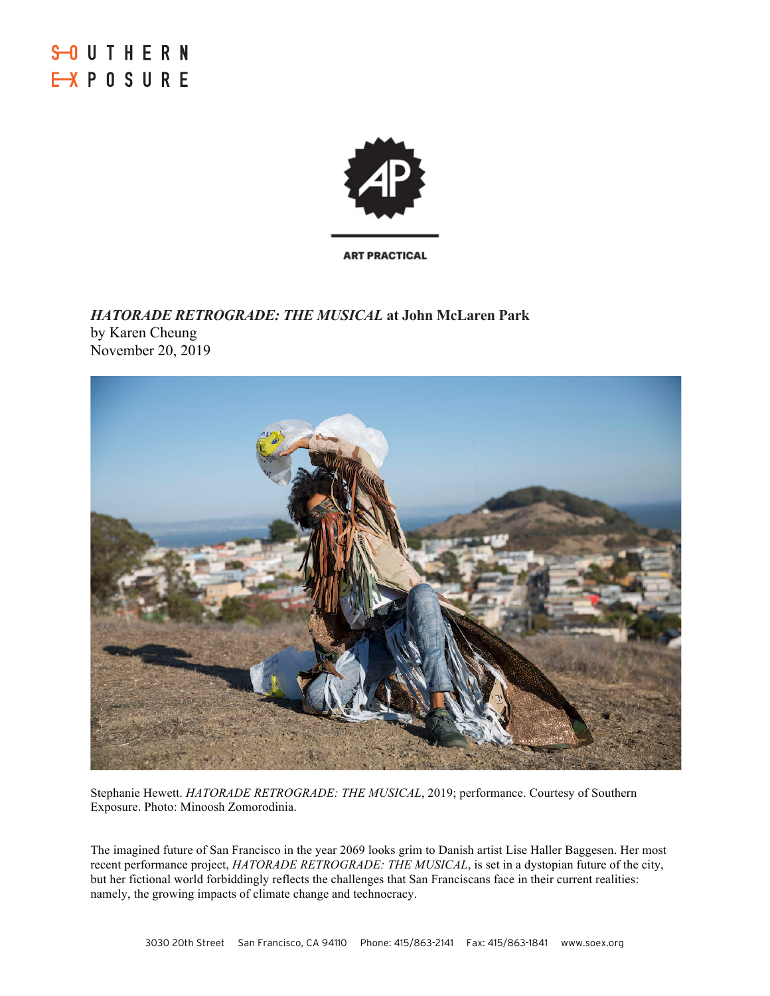

*HATORADE RETROGRADE: THE MUSICAL* **at John McLaren Park** by Karen Cheung November 20, 2019



Stephanie Hewett. *HATORADE RETROGRADE: THE MUSICAL*, 2019; performance. Courtesy of Southern Exposure. Photo: Minoosh Zomorodinia.

The imagined future of San Francisco in the year 2069 looks grim to Danish artist Lise Haller Baggesen. Her most recent performance project, *HATORADE RETROGRADE: THE MUSICAL*, is set in a dystopian future of the city, but her fictional world forbiddingly reflects the challenges that San Franciscans face in their current realities: namely, the growing impacts of climate change and technocracy.